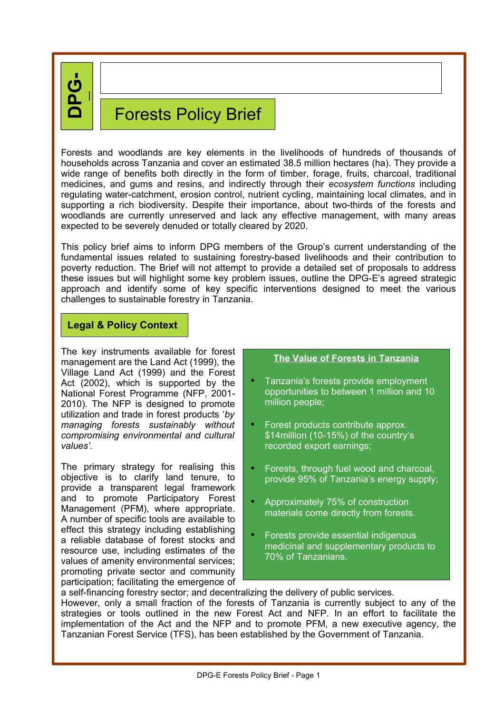**DP G-**

**E**

# Forests Policy Brief

Forests and woodlands are key elements in the livelihoods of hundreds of thousands of households across Tanzania and cover an estimated 38.5 million hectares (ha). They provide a wide range of benefits both directly in the form of timber, forage, fruits, charcoal, traditional medicines, and gums and resins, and indirectly through their *ecosystem functions* including regulating water-catchment, erosion control, nutrient cycling, maintaining local climates, and in supporting a rich biodiversity. Despite their importance, about two-thirds of the forests and woodlands are currently unreserved and lack any effective management, with many areas expected to be severely denuded or totally cleared by 2020.

This policy brief aims to inform DPG members of the Group's current understanding of the fundamental issues related to sustaining forestry-based livelihoods and their contribution to poverty reduction. The Brief will not attempt to provide a detailed set of proposals to address these issues but will highlight some key problem issues, outline the DPG-E's agreed strategic approach and identify some of key specific interventions designed to meet the various challenges to sustainable forestry in Tanzania.

## **Legal & Policy Context**

The key instruments available for forest management are the Land Act (1999), the Village Land Act (1999) and the Forest Act (2002), which is supported by the National Forest Programme (NFP, 2001- 2010). The NFP is designed to promote utilization and trade in forest products '*by managing forests sustainably without compromising environmental and cultural values'.*

The primary strategy for realising this objective is to clarify land tenure, to provide a transparent legal framework and to promote Participatory Forest Management (PFM), where appropriate. A number of specific tools are available to effect this strategy including establishing a reliable database of forest stocks and resource use, including estimates of the values of amenity environmental services; promoting private sector and community participation; facilitating the emergence of

#### **The Value of Forests in Tanzania**

- Tanzania's forests provide employment opportunities to between 1 million and 10 million people;
- Forest products contribute approx. \$14million (10-15%) of the country's recorded export earnings;
- Forests, through fuel wood and charcoal, provide 95% of Tanzania's energy supply;
- Approximately 75% of construction materials come directly from forests.
- Forests provide essential indigenous medicinal and supplementary products to 70% of Tanzanians.

a self-financing forestry sector; and decentralizing the delivery of public services. However, only a small fraction of the forests of Tanzania is currently subject to any of the strategies or tools outlined in the new Forest Act and NFP. In an effort to facilitate the implementation of the Act and the NFP and to promote PFM, a new executive agency, the Tanzanian Forest Service (TFS), has been established by the Government of Tanzania.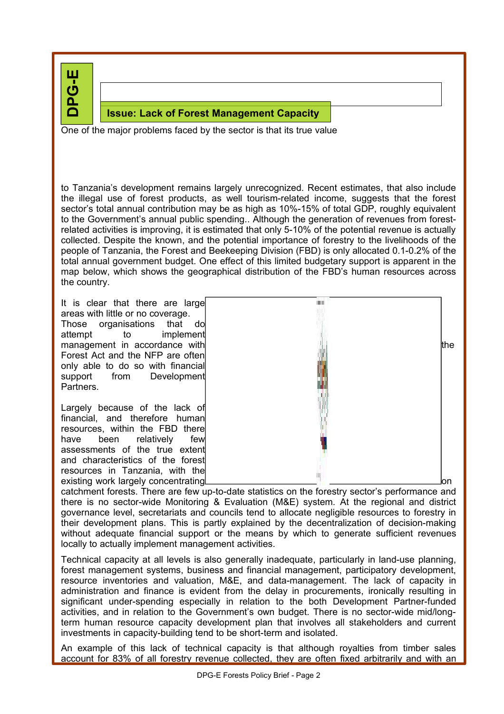**DPG-E**

## **Issue: Lack of Forest Management Capacity**

One of the major problems faced by the sector is that its true value

to Tanzania's development remains largely unrecognized. Recent estimates, that also include the illegal use of forest products, as well tourism-related income, suggests that the forest sector's total annual contribution may be as high as 10%-15% of total GDP, roughly equivalent to the Government's annual public spending.. Although the generation of revenues from forestrelated activities is improving, it is estimated that only 5-10% of the potential revenue is actually collected. Despite the known, and the potential importance of forestry to the livelihoods of the people of Tanzania, the Forest and Beekeeping Division (FBD) is only allocated 0.1-0.2% of the total annual government budget. One effect of this limited budgetary support is apparent in the map below, which shows the geographical distribution of the FBD's human resources across the country.

DPG - Environment *Forest Policy Brief*

It is clear that there are large areas with little or no coverage. Those organisations that do attempt to implement Forest Act and the NFP are often only able to do so with financial support from Development Partners.

Largely because of the lack of financial, and therefore human resources, within the FBD there have been relatively few assessments of the true extent and characteristics of the forest resources in Tanzania, with the existing work largely concentrating



catchment forests. There are few up-to-date statistics on the forestry sector's performance and there is no sector-wide Monitoring & Evaluation (M&E) system. At the regional and district governance level, secretariats and councils tend to allocate negligible resources to forestry in their development plans. This is partly explained by the decentralization of decision-making without adequate financial support or the means by which to generate sufficient revenues locally to actually implement management activities.

Technical capacity at all levels is also generally inadequate, particularly in land-use planning, forest management systems, business and financial management, participatory development, resource inventories and valuation, M&E, and data-management. The lack of capacity in administration and finance is evident from the delay in procurements, ironically resulting in significant under-spending especially in relation to the both Development Partner-funded activities, and in relation to the Government's own budget. There is no sector-wide mid/longterm human resource capacity development plan that involves all stakeholders and current investments in capacity-building tend to be short-term and isolated.

An example of this lack of technical capacity is that although royalties from timber sales account for 83% of all forestry revenue collected, they are often fixed arbitrarily and with an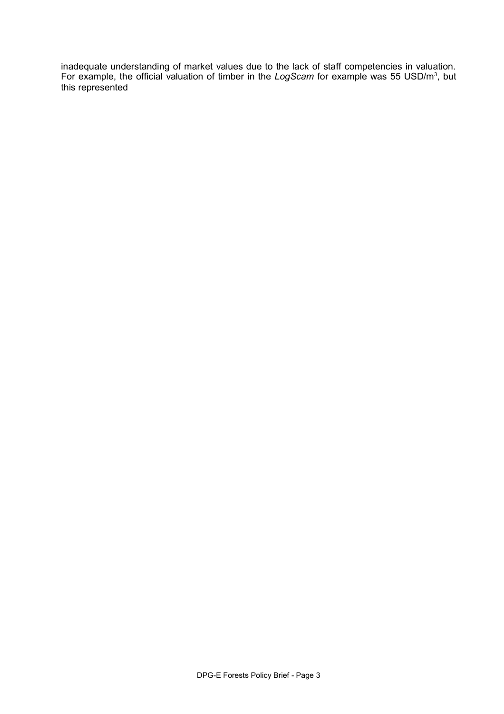inadequate understanding of market values due to the lack of staff competencies in valuation. For example, the official valuation of timber in the LogScam for example was 55 USD/m<sup>3</sup>, but this represented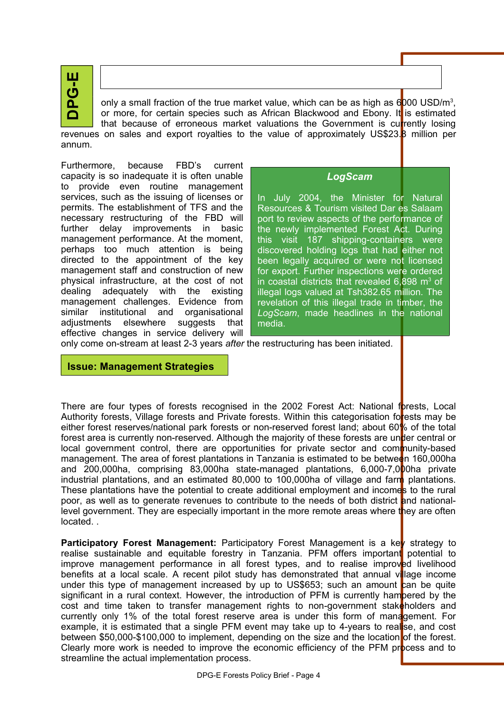

only a small fraction of the true market value, which can be as high as 6000 USD/m<sup>3</sup>, or more, for certain species such as African Blackwood and Ebony. It is estimated that because of erroneous market valuations the Government is currently losing revenues on sales and export royalties to the value of approximately US\$23.<sup>8</sup> million per annum.

Furthermore, because FBD's current capacity is so inadequate it is often unable to provide even routine management services, such as the issuing of licenses or permits. The establishment of TFS and the necessary restructuring of the FBD will further delay improvements in basic management performance. At the moment, perhaps too much attention is being directed to the appointment of the key management staff and construction of new physical infrastructure, at the cost of not dealing adequately with the existing management challenges. Evidence from similar institutional and organisational adjustments elsewhere suggests that effective changes in service delivery will

*LogScam*

In July 2004, the Minister for Natural Resources & Tourism visited Dar es Salaam port to review aspects of the performance of the newly implemented Forest Act. During this visit 187 shipping-containers were discovered holding logs that had either not been legally acquired or were not licensed for export. Further inspections were ordered in coastal districts that revealed  $6,898$  m<sup>3</sup> of illegal logs valued at Tsh382.65 million. The revelation of this illegal trade in timber, the *LogScam*, made headlines in the national media.

only come on-stream at least 2-3 years *after* the restructuring has been initiated.

**Issue: Management Strategies**

There are four types of forests recognised in the 2002 Forest Act: National forests, Local Authority forests, Village forests and Private forests. Within this categorisation forests may be either forest reserves/national park forests or non-reserved forest land; about 60% of the total forest area is currently non-reserved. Although the majority of these forests are under central or local government control, there are opportunities for private sector and community-based management. The area of forest plantations in Tanzania is estimated to be between 160,000ha and 200,000ha, comprising 83,000ha state-managed plantations, 6,000-7,000ha private industrial plantations, and an estimated  $80,000$  to 100,000ha of village and farm plantations. These plantations have the potential to create additional employment and incomes to the rural poor, as well as to generate revenues to contribute to the needs of both district and nationallevel government. They are especially important in the more remote areas where they are often located. .

**Participatory Forest Management:** Participatory Forest Management is a key strategy to realise sustainable and equitable forestry in Tanzania. PFM offers important potential to improve management performance in all forest types, and to realise improved livelihood benefits at a local scale. A recent pilot study has demonstrated that annual village income under this type of management increased by up to US\$653; such an amount can be quite significant in a rural context. However, the introduction of PFM is currently hampered by the cost and time taken to transfer management rights to non-government stakeholders and currently only 1% of the total forest reserve area is under this form of management. For example, it is estimated that a single PFM event may take up to 4-years to reallse, and cost between \$50,000-\$100,000 to implement, depending on the size and the location of the forest. Clearly more work is needed to improve the economic efficiency of the PFM process and to streamline the actual implementation process.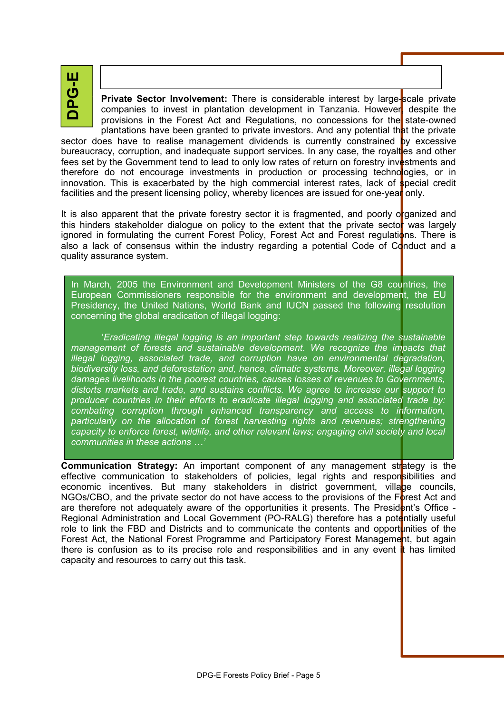山<br>ウ

**Private Sector Involvement:** There is considerable interest by large-scale private companies to invest in plantation development in Tanzania. However despite the provisions in the Forest Act and Regulations, no concessions for the state-owned plantations have been granted to private investors. And any potential that the private

sector does have to realise management dividends is currently constrained by excessive bureaucracy, corruption, and inadequate support services. In any case, the royaltes and other fees set by the Government tend to lead to only low rates of return on forestry investments and therefore do not encourage investments in production or processing technologies, or in innovation. This is exacerbated by the high commercial interest rates, lack of special credit facilities and the present licensing policy, whereby licences are issued for one-year only.

It is also apparent that the private forestry sector it is fragmented, and poorly organized and this hinders stakeholder dialogue on policy to the extent that the private sector was largely ignored in formulating the current Forest Policy, Forest Act and Forest regulations. There is also a lack of consensus within the industry regarding a potential Code of Conduct and a quality assurance system.

In March, 2005 the Environment and Development Ministers of the G8 countries, the European Commissioners responsible for the environment and development, the EU Presidency, the United Nations, World Bank and IUCN passed the following resolution concerning the global eradication of illegal logging:

'*Eradicating illegal logging is an important step towards realizing the sustainable management of forests and sustainable development. We recognize the impacts that illegal logging, associated trade, and corruption have on environmental degradation, biodiversity loss, and deforestation and, hence, climatic systems. Moreover, illegal logging damages livelihoods in the poorest countries, causes losses of revenues to Governments, distorts markets and trade, and sustains conflicts. We agree to increase our support to producer countries in their efforts to eradicate illegal logging and associated trade by: combating corruption through enhanced transparency and access to information, particularly on the allocation of forest harvesting rights and revenues; strengthening capacity to enforce forest, wildlife, and other relevant laws; engaging civil society and local communities in these actions …'*

**Communication Strategy:** An important component of any management strategy is the effective communication to stakeholders of policies, legal rights and responsibilities and economic incentives. But many stakeholders in district government, village councils, NGOs/CBO, and the private sector do not have access to the provisions of the  $F_{\text{O}}$  prest Act and are therefore not adequately aware of the opportunities it presents. The President's Office -Regional Administration and Local Government (PO-RALG) therefore has a potentially useful role to link the FBD and Districts and to communicate the contents and opportunities of the Forest Act, the National Forest Programme and Participatory Forest Management, but again there is confusion as to its precise role and responsibilities and in any event  $\mathbf t$  has limited capacity and resources to carry out this task.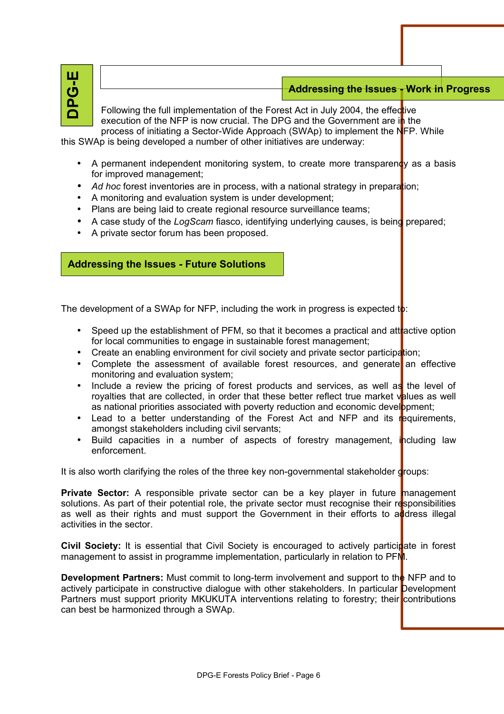| ш  |
|----|
|    |
| の  |
| O. |
|    |

## DPG - Environment *Forest Policy Brief* **Addressing the Issues - Work in Progress**

Following the full implementation of the Forest Act in July 2004, the effective execution of the NFP is now crucial. The DPG and the Government are  $i$ <sub>n</sub> the process of initiating a Sector-Wide Approach (SWAp) to implement the NFP. While

this SWAp is being developed a number of other initiatives are underway:

- A permanent independent monitoring system, to create more transparency as a basis for improved management;
- *Ad hoc* forest inventories are in process, with a national strategy in preparation;
- A monitoring and evaluation system is under development;
- Plans are being laid to create regional resource surveillance teams;
- A case study of the *LogScam* fiasco, identifying underlying causes, is being prepared;
- A private sector forum has been proposed.

#### **Addressing the Issues - Future Solutions**

The development of a SWAp for NFP, including the work in progress is expected to:

- Speed up the establishment of PFM, so that it becomes a practical and attractive option for local communities to engage in sustainable forest management;
- Create an enabling environment for civil society and private sector participation;
- Complete the assessment of available forest resources, and generate an effective monitoring and evaluation system;
- Include a review the pricing of forest products and services, as well as the level of royalties that are collected, in order that these better reflect true market values as well as national priorities associated with poverty reduction and economic development;
- Lead to a better understanding of the Forest Act and NFP and its requirements, amongst stakeholders including civil servants;
- Build capacities in a number of aspects of forestry management, including law enforcement.

It is also worth clarifying the roles of the three key non-governmental stakeholder  $\frac{d}{d}$ roups:

**Private Sector:** A responsible private sector can be a key player in future management solutions. As part of their potential role, the private sector must recognise their responsibilities as well as their rights and must support the Government in their efforts to address illegal activities in the sector.

**Civil Society:** It is essential that Civil Society is encouraged to actively participate in forest management to assist in programme implementation, particularly in relation to PFM.

**Development Partners:** Must commit to long-term involvement and support to the NFP and to actively participate in constructive dialogue with other stakeholders. In particular Development Partners must support priority MKUKUTA interventions relating to forestry; their contributions can best be harmonized through a SWAp.